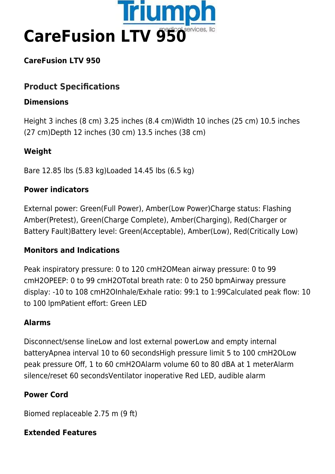

## **CareFusion LTV 950**

# **Product Specifications**

#### **Dimensions**

Height 3 inches (8 cm) 3.25 inches (8.4 cm)Width 10 inches (25 cm) 10.5 inches (27 cm)Depth 12 inches (30 cm) 13.5 inches (38 cm)

## **Weight**

Bare 12.85 lbs (5.83 kg)Loaded 14.45 lbs (6.5 kg)

#### **Power indicators**

External power: Green(Full Power), Amber(Low Power)Charge status: Flashing Amber(Pretest), Green(Charge Complete), Amber(Charging), Red(Charger or Battery Fault)Battery level: Green(Acceptable), Amber(Low), Red(Critically Low)

## **Monitors and Indications**

Peak inspiratory pressure: 0 to 120 cmH2OMean airway pressure: 0 to 99 cmH2OPEEP: 0 to 99 cmH2OTotal breath rate: 0 to 250 bpmAirway pressure display: -10 to 108 cmH2OInhale/Exhale ratio: 99:1 to 1:99Calculated peak flow: 10 to 100 lpmPatient effort: Green LED

## **Alarms**

Disconnect/sense lineLow and lost external powerLow and empty internal batteryApnea interval 10 to 60 secondsHigh pressure limit 5 to 100 cmH2OLow peak pressure Off, 1 to 60 cmH2OAlarm volume 60 to 80 dBA at 1 meterAlarm silence/reset 60 secondsVentilator inoperative Red LED, audible alarm

## **Power Cord**

Biomed replaceable 2.75 m (9 ft)

## **Extended Features**